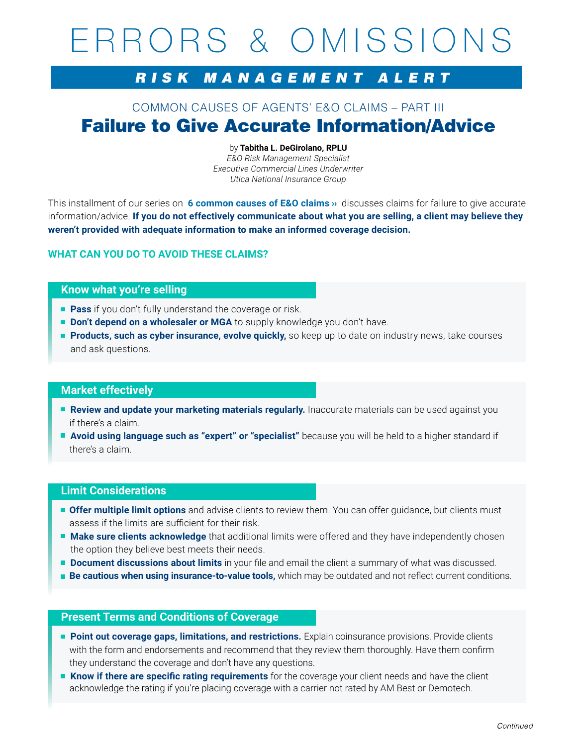# ERRORS & OMISSIONS

# RISK MANAGEMENT ALERT

# COMMON CAUSES OF AGENTS' E&O CLAIMS – PART III Failure to Give Accurate Information/Advice

#### by **Tabitha L. DeGirolano, RPLU**

*E&O Risk Management Specialist Executive Commercial Lines Underwriter Utica National Insurance Group*

This installment of our series on **[6 common causes of E&O claims ››](https://secure.uticanational.com/RulCov-1Vol2/common/star product manuals/loss control material/5-R-1416.pdf)**. discusses claims for failure to give accurate information/advice. **If you do not effectively communicate about what you are selling, a client may believe they weren't provided with adequate information to make an informed coverage decision.**

# **WHAT CAN YOU DO TO AVOID THESE CLAIMS?**

## **Know what you're selling**

- **Pass** if you don't fully understand the coverage or risk.
- **Don't depend on a wholesaler or MGA** to supply knowledge you don't have.
- **Products, such as cyber insurance, evolve quickly,** so keep up to date on industry news, take courses and ask questions.

### **Market effectively**

- **Review and update your marketing materials regularly.** Inaccurate materials can be used against you if there's a claim.
- **Avoid using language such as "expert" or "specialist"** because you will be held to a higher standard if there's a claim.

#### **Limit Considerations**

- **Offer multiple limit options** and advise clients to review them. You can offer guidance, but clients must assess if the limits are sufficient for their risk.
- **Make sure clients acknowledge** that additional limits were offered and they have independently chosen the option they believe best meets their needs.
- **Document discussions about limits** in your file and email the client a summary of what was discussed.
- **Be cautious when using insurance-to-value tools,** which may be outdated and not reflect current conditions.

## **Present Terms and Conditions of Coverage**

- **Point out coverage gaps, limitations, and restrictions.** Explain coinsurance provisions. Provide clients with the form and endorsements and recommend that they review them thoroughly. Have them confirm they understand the coverage and don't have any questions.
- **Know if there are specific rating requirements** for the coverage your client needs and have the client acknowledge the rating if you're placing coverage with a carrier not rated by AM Best or Demotech.